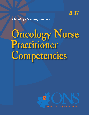

*Oncology Nursing Society*

# **Oncology Nurse Practitioner Competencies**



**Where Oncology Nurses Connect**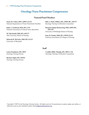# **Oncology Nurse Practitioner Competencies**

### **National Panel Members**

**Susan M. Cohen, DSN, APRN, FAAN** National Organization of Nurse Practitioner Faculties

**Kelly A. Goudreau, DSN, RN, CNS** National Association of Clinical Nurse Specialists

**M. Tish Knobf, PhD, RN, AOCN®** Yale University School of Nursing

**Deborah B. McGuire, PhD, RN, FAAN** University of Maryland

**Julie A. Ponto, PhD(c), RN, APRN-BC, AOCN®** Oncology Nursing Certification Corporation

**Margaret Quinn Rosenzweig, PhD, APRN-BC, AOCNP®** University of Pittsburgh School of Nursing

**Joan M. Stanley, PhD, RN, CRNP, FAAN** American Association of Colleges of Nursing

### **Staff**

**Laura Fennimore, RN, MSN** Oncology Nursing Society

**Barbara Sigler, RN, MNEd** Oncology Nursing Society

**Cynthia Miller Murphy, RN, MSN, CAE** Oncology Nursing Certification Corporation

Copyright © 2007 by the Oncology Nursing Society. All rights reserved. For permission to reprint, adapt, post online, or otherwise reuse at your institution, please email pubpermissions@ons.org.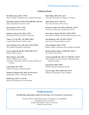### **Validation Panel**

**Pat Wills Alcoser, MSN, CPNP** Baylor College of Medicine/Texas Children's Hospital

**Deborah H. Allen, RN, MSN, FNP, APRN-BC, AOCNP®** Duke Comprehensive Cancer Center

**Karen Brown, FNP-C, ONP** Roswell Park Cancer Institute

**Kathleen Calzone, RN, MSN, APNG** International Society of Nurses in Genetics

**Cathy J. F. Cole, RNC, NP, MPH, CHES** Cooper Finkel Women's Health Center

**Joan O'Hanlon Curry, RN, MS, CPNP, CPON®** The Children's Hospital at Montefiore

**Lynn Czaplewski, RN-BC, CRNI, BSN, OCN®** Infusion Nurses Society

**Marie Flannery, RN, PhD** James P. Wilmot Cancer Center University of Rochester Medical Center and School of Nursing

**Cathy Haut, MS, CPNP** Pediatric Nursing Certification Board

**Michele M. Hughes, RN, MSN, ACNP, ONP-C** Orthopaedic Nurses Certification Board

**Robin King, MSN, CS, ACNP** Barbara Ann Karmanos Cancer Institute **Pam Malloy, MSN, RN, AACN** American Association of Colleges of Nursing

**Judie Much, APNC, AOCNP®** The Cancer Institute of New Jersey

**Rosemary Neider, RN, MSN, APRN-BC, AOCN®** University of Wisconsin Hospital and Clinics

**Mary Baron Nelson, MS, RN, CPNP, CPON®** Association of Pediatric Hematology/Oncology Nurses

**Jean Ridgeway, APN, NP, MSN, AOCN®** University of Chicago Medical Center

**Cheryl Rodgers, MSN, CPNP** Baylor College of Medicine/Texas Children's Hospital

**Barbara Barnes Rogers, CRNP, MN, AOCN®** Fox Chase Cancer Center

**Victoria Sinibaldi, RN, MS, CS, CRNP-BC, AOCN®** Johns Hopkins University School of Medicine/Johns Hopkins Hospita**l**

**Janet Wyatt, PhD, CRNP** Pediatric Nursing Certification Board

**Lisa M. Zajac, MSN, APRN-BC, OCN®** Barbara Ann Karmanos Cancer Institute

# **Endorsements**

**The following organizations endorse the** *Oncology Nurse Practitioner Competencies.*

American Nurses Credentialing Center, Commission on Accreditation Emergency Nurses Association Hospice and Palliative Nurses Association Infusion Nurses Society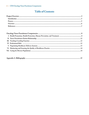# **Table of Contents**

|--|--|--|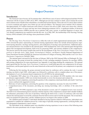## **Project Overview**

### **Introduction**

The American Cancer Society (ACS) estimates that 1,444,920 new cases of cancer will be diagnosed and that 559,650 Americans will die of cancer in 2007 (ACS, 2007). Although survival rates continue to climb, cancer remains the second most common cause of death in the United States, exceeded only by heart disease. Those who survive cancer often continue to receive treatment and require close follow-up care and surveillance. The National Cancer Institute (NCI) estimates that approximately 10.5 million Americans with a history of cancer were alive in 2003. Some were cancer-free, whereas others still had evidence of cancer and may have been undergoing treatment (ACS). A significant number of advanced practice registered nurses (APRNs) provide care to patients with a past, current, or potential diagnosis of cancer, and very distinct competencies are required to provide this care. As of May 2007, the membership of the Oncology Nursing Society (ONS) included 2,024 oncology nurse practitioners (ONPs).

### **Process**

The *Oncology Nurse Practitioner Competencies* reflect the work of a multi-organizational national panel. In 2005, ONS convened the panel, representing six national nursing organizations whose foci include advanced practice registered nursing education, oncology nursing practice, and certification of oncology nurse practitioners. Additional educators and practitioners were included on the national panel. ONS facilitated the work of the national panel through three phases that encompassed development, field review by practicing ONPs, and external validation of the competencies. The process used for this project models that used for the development of the *Nurse Practitioner Primary Care Competencies in Specialty Areas: Adult, Family, Gerontological, Pediatric, and Women's Health* (National Organization of Nurse Practitioner Faculties [NONPF] & American Association of Colleges of Nursing, 2002) and the *Acute Care Nurse Practitioner Competencies* (NONPF, 2004).

 The national panel convened for the first time in February 2005 at the ONS National Office in Pittsburgh, PA. During this meeting, the group reviewed the existing body of work, including standards of practice for oncology APRNs and existing competencies for nurse practitioners (see Appendix A) and began drafting the competencies. The national panel agreed that the *Oncology Nurse Practitioner Competencies* would build upon the core competencies for all nurse practitioners, and the panel agreed to use the same framework as that used for the primary care competencies in specialty areas.

Following the first meeting, the group convened several times by conference call to continue the work. A second meeting was held in April 2005, which again was followed by conference calls to complete phase one of the project, development of a set of consensus-based competencies for all ONPs by the national panel.

In September 2005, phase two of the project, the field review, was initiated. All ONS members who were nurse practitioners (approximately 1,800) were invited electronically to review the document and evaluate the

- Specificity of each competency, answering the question, Is the competency stated specifically and clearly? And if not, nurses could provide suggested revisions.
- • Relevance of each competency, answering the question, Is the competency necessary for entry-level ONPs?
- • Comprehensiveness of the document, providing any missing knowledge, skill, or attribute of the entry-level ONP.

Approximately 350 ONPs requested a copy of the document to review, and 127 completed reviews were received. The field review demonstrated general consensus with the majority of the competencies and provided valuable feedback for refinement, particularly in the area of specificity. Following the field review, a series of conference calls were held wherein the national panel reviewed the comments from the field reviewers and revised the document. The revised document was prepared for phase three, and the validation process was begun in the summer of 2006.

The validation panel included 21 individuals identified as having expertise related to ONP practice. Individuals were nominated to complete the validation process by a wide range of specialty nursing organizations, certifying bodies, and NCI-designated comprehensive cancer centers.

The individuals on the validation panel were identified as having experience in one or more of the following areas related to the nurse practitioner role or scope of practice: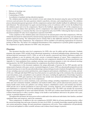- Delivery of oncology care
- • Education of ONPs
- Credentialing of ONPs
- • Accreditation of graduate nursing education programs.

The validation panel members were invited to review and evaluate the document using the same tool that the field reviewers used and answer the same questions related to specificity, relevance, and comprehensiveness. The validation process demonstrated general agreement with the competencies and provided valuable feedback for additional revisions and refinement. The national panel was again convened during a series of conference calls to review the feedback from the validation panel and revise the competencies. Based on the feedback, approximately 20% of the competencies underwent revision to enhance their specificity, and five competencies were added and seven competencies were deleted because of redundancy or consensus that they were not required for entry-level ONPs. Following the final revisions, the document included 103 entry-level competencies expected of all ONPs.

At the completion of the validation phase and consensus by the national panel on the final competencies, ONS distributed the document for endorsement by national nursing organizations that have a stake in oncology care and advanced practice registered nursing. The endorsement process remains fluid so that additional endorsers can be added to the electronic posting of the competencies. The competencies will be available to all endorsing organizations for electronic posting on Web sites. The intent is for widespread dissemination of the competencies to promote global recognition of the competencies as quality indicators for ONPs' entry into practice.

### **Overview**

This document describes entry-level competencies for ONPs who care for adults and late adolescents. Graduate programs that prepare ONPs include broad educational preparation in advanced pathophysiology, pharmacology, and advanced physical assessment (AACN, 1996), as well as the specific coursework and clinical experiences required to prepare graduates to care for patients with a past, current, or potential diagnosis of cancer. These competencies are intended to be used in conjunction with and build upon the core competencies identified for all nurse practitioners (see Appendix A). Upon graduation from a graduate oncology nurse practitioner program or entry into advanced oncology nursing practice, the ONP should demonstrate the competencies described in this document.

The competencies in this document emphasize the unique philosophy of practice for the ONP specialty and the unique needs of patients with a past, current, or potential diagnosis of cancer. ONPs are educationally prepared to provide advanced nursing care to meet the specialized physiologic and psychological needs of patients throughout the continuum of care, including cancer prevention and detection, cancer diagnosis and treatment, rehabilitation, survivorship, and endof-life care. Although individual ONPs may focus their practice on a particular stage in the continuum, they are prepared to provide primary, acute, and palliative care to patients with cancer, including the application of knowledge of genetics and genomics. As ONPs gain experience, their practice may include more advanced and additional knowledge, skills, and abilities not included in these entry-level competencies.

ONPs provide care in a variety of primary, acute, and tertiary settings, including comprehensive cancer care centers, urban and rural community hospitals, ambulatory and medical mobile clinics, private physician/nurse practices, community health centers, home care, palliative care settings, hospices, rehabilitation centers, and extended care facilities. ONPs provide care to specific populations in cancer prevention, screening, diagnosis, active treatment, palliative care, and rehabilitation in conjunction with the multidisciplinary healthcare team. The ONP's role includes the assessment, diagnosis, and management of cancer and related disorders. The ONP uses evidence-based literature and works toward evidence-based practice to effect a positive change in the health of and healthcare delivered to the patient with a past, current, or potential diagnosis of cancer.

Throughout this document, the term *patient* refers to adult and/or late adolescent individuals, their families, unrelated significant others and caregivers, and/or the community.

These competencies, in addition to the core competencies (NONPF, 2006) for all nurse practitioner practice, reflect the current knowledge base and scope of practice for entry-level ONPs. As scientific knowledge expands and the healthcare system and practice change, the nurse practitioner competencies will evolve. These competencies will periodically be reviewed and updated to reflect scientific advances and evidence-based changes in practice.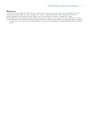### **References**

American Association of Colleges of Nursing. (1996). *The essentials of master's education for advanced practice nursing.* Washington, DC: Author. American Cancer Society. (2007). *Cancer facts and figures, 2007.* Atlanta, GA: Author. Retrieved May 18, 2007, from http://www.cancer.org National Organization of Nurse Practitioner Faculties. (2004). *Acute care nurse practitioner competencies.* Washington, DC: Author. National Organization of Nurse Practitioner Faculties. (2006). *Domains and core competencies of nurse practitioner practice.* Washington, DC: Author.

National Organization of Nurse Practitioner Faculties & American Association of Colleges of Nursing. (2002). *Nurse practitioner primary care competencies in specialty areas: Adult, family, gerontological, pediatric, and women's health.* Washington, DC: National Organization of Nurse Practitioner Faculties.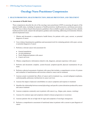### **I. HEALTH PROMOTION, HEALTH PROTECTION, DISEASE PREVENTION, AND TREATMENT**

### **A. Assessment of Health Status**

 These competencies describe the role of the oncology nurse practitioner (ONP) in assessing all aspects of the patient's health status, including for purposes of health promotion, health protection, and disease prevention. The ONP uses evidence-based clinical practice guidelines when available to guide screening activities, identify health promotion needs, and provide anticipatory guidance and counseling, addressing environmental, lifestyle, and developmental issues.

- 1. Obtains and documents a comprehensive health history for patients with a past, current, or potential diagnosis of cancer
- 2. Uses evidence-based practice guidelines and assessment tools for evaluating patients with a past, current, or potential diagnosis of cancer
- 3. Performs a relevant cancer risk assessment for:
	- General populations
	- At-risk populations
	- Newly diagnosed patients with cancer
	- Cancer survivors
- 4. Obtains comprehensive information related to risk, diagnosis, and past experience with cancer
- 5. Performs and documents complete, system-focused, symptom-specific physical examinations for patients
- 6. Performs a physical assessment of patients with cancer that includes a comprehensive review of systems and evaluation of manifestations and toxicities related to cancer and its treatment
- 7. Assesses actual or potential late effects of cancer and its treatment (e.g., second malignant neoplasms, cardiomyopathy, pulmonary dysfunction) in cancer survivors
- 8. Assesses the impact of physical comorbidities on cancer symptoms and response to treatment
- 9. Identifies the relationship between normal physiology and specific system alterations produced by cancer and cancer treatment
- 10. Assesses symptoms commonly seen in patients with cancer (e.g., fatigue, pain, nausea, vomiting)
- 11. Assesses for common signs and symptoms related to disease progression or recurrence
- 12. Assesses patients who are at high risk for signs and symptoms of oncologic emergencies
- 13. Performs a comprehensive assessment of nutritional status in patients with a current or past diagnosis of cancer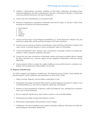- 14. Conducts a pharmacologic assessment, including over-the-counter medications, prescription drugs, nutritional supplements, and other complementary, alternative, and integrative therapies, to identify and correct any potential interactions with cancer therapeutics
- 15. Assesses the risks of polypharmacy to the patient's health
- 16. Performs a comprehensive assessment of functional status and the impact on activities of daily living, including but not limited to the following domains
	- Psychological
	- Role
	- Social
	- Cognitive
	- Physical
- 17. Assesses for the presence of psychological comorbidities (e.g., anxiety/depression, substance use), past and present coping skills, and the psychosocial impact of the cancer experience
- 18. Assesses concerns and issues related to sexual function, sexual well-being, and fertility of patients with a past, current, or potential diagnosis of cancer, including the impact on relationships
- 19. Assesses developmental, ethnic, spiritual, racial, socioeconomic, and gender variations in symptom presentation or illness experience of patients with cancer
- 20. Assesses the roles, tasks, and stressors of individuals, families, and caregivers and their ability to manage the illness experience (e.g., resources, support services, equipment, transportation, child care, anxiety, depression)
- 21. Assesses patients' ability to navigate the complex healthcare system and the barriers to continuity, coordination, and communication among multiple care providers

### **B. Diagnosis of Health Status**

 The ONP is engaged in the diagnosis of health status. This diagnostic process includes critical thinking, differential diagnosis, and the integration and interpretation of various forms of data.

- 1. Orders screening, diagnostic, and surveillance examinations or tests
- 2. Demonstrates knowledge of technical skills needed to perform diagnostic procedures to confirm or rule out health problems (e.g., bone marrow aspirations, spinal taps, skin biopsies)
- 3. Performs an initial interpretation of laboratory studies and diagnostic tests, including but not limited to chest x-ray or electrocardiogram
- 4. Reviews diagnostic and laboratory study results to confirm or rule out health problems
- 5. Demonstrates knowledge of atypical presentations of cancer
- 6. Demonstrates understanding of the principles of cancer staging
- 7. Collaborates with relevant healthcare team members and gathers additional information for further differential diagnosis and problem identification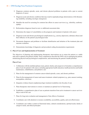- 8. Diagnoses common episodic, acute, and chronic physical problems in patients with a past or current diagnosis of cancer
- 9. Diagnoses acute and chronic conditions that may result in rapid physiologic deterioration or life-threatening instability, including oncologic emergencies
- 10. Identifies the need for screening for common late effects in cancer survivors (e.g., infertility, cardiomyopathy)
- 11. Reformulates diagnoses based on new or additional assessment data
- 12. Determines the impact of comorbidities on the prognosis and treatment of patients with cancer
- 13. Diagnoses acute and chronic psychological complications (e.g., anxiety, depression, substance abuse) and their influence on the patient's psychological state
- 14. Documents diagnoses and problems to facilitate identification and initiation of the treatment plan and outcome evaluation
- 15. Demonstrates knowledge of diagnostic and procedural coding documentation requirements

### **C. Plan of Care and Implementation of Treatment**

 The objectives of planning and implementing therapeutic interventions are to return the patient to a stable state and to optimize the patient's health. These competencies describe the ONP's role in managing the patient, minimizing physical and psychological complications, and maximizing the patient's health potential.

### **Plan of Care**

- 1. Collaborates with the multidisciplinary team, patient, family, and caregivers to formulate a comprehensive plan of care for patients with cancer, including appropriate health education, health promotion and health maintenance, rehabilitation, and palliative care
- 2. Plans for the management of common cancer-related episodic, acute, and chronic problems
- 3. Plans for the management of cancer and cancer treatment–related symptoms (e.g., pain, nausea/vomiting, neuropathies, infection)
- 4. Integrates evidence-based, nonpharmacologic treatment modalities into the plan of care
- 5. Plans therapeutic interventions to restore or maintain an optimal level of functioning
- 6. Establishes a comprehensive plan of care as patients transition from active treatment to cancer survivorship or end-of-life care
- 7. Plans for long-term evaluation and management of late effects of treatment
- 8. Coordinates care with attention to resource availability, accessibility, quality, and cost-effectiveness
- 9. Coordinates care within a context of functional status, cultural considerations, spiritual needs, family or caregiver needs, and ethical principles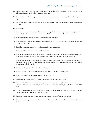- 10. Demonstrates awareness of appropriate clinical trials and research studies for which patients may be eligible and assists in recruiting patients as appropriate
- 11. Incorporates patients' developmental learning needs and preferences in planning patient and family teaching
- 12. Documents the plan of care and intended outcomes to ensure that interventions will be implemented as planned

### **Implementation**

- 1. Uses evidence-based strategies in the management of patients across the continuum of care (i.e., prevention, early detection, diagnosis, treatment, rehabilitation, survivorship, and end-of-life care)
- 2. Monitors and manages the effects of cancer and cancer treatment
- 3. Provides anticipatory guidance to assist patients and families in coping with the illness and its potential or expected outcomes
- 4. Considers comorbid conditions when implementing cancer treatment
- 5. Treats episodic, acute, and chronic health problems
- 6. Initiates appropriate treatments and referrals for patients experiencing an oncologic emergency (e.g., disseminated intravascular coagulation, superior vena cava syndrome, spinal cord compression)
- 7. Implements interventions to support patients who have a rapidly deteriorating physiologic condition, including the application of basic and advanced life support and other invasive interventions or procedures to regain physiologic stability
- 8. Educates and supports patients in self-care strategies
- 9. Refers patients to other healthcare providers for further evaluation as appropriate
- 10. Refers patients and families to appropriate support services
- 11. Facilitates transitions between healthcare settings to provide continuity of care
- 12. Uses an ethical framework in all aspects of patient care to assist patients, families, and other caregivers on issues related to the care and management of symptoms, advance directives, and palliative and end-of-life care
- 13. Coordinates palliative and end-of-life care in collaboration with patients, families, caregivers, and other members of the multidisciplinary healthcare team
- 14. Evaluates the effectiveness of interventions and revises the plan of care as appropriate
- 15. Determines the impact of cancer treatment and its side effects and long-term effects on patient outcomes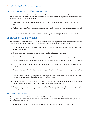### **II. NURSE PRACTITIONER-PATIENT RELATIONSHIP**

 Competencies in this area demonstrate the personal, collaborative, and therapeutic approach, which enhances the effectiveness of the ONP's patient care. These competencies speak to the critical importance of interpersonal transactions as they relate to patient outcomes.

- 1. Establishes caring relationships with patients, families, and other caregivers to facilitate coping with sensitive issues
- 2. Facilitates patient and family decision making regarding complex treatment, symptom management, and endof-life care
- 3. Assists patients with cancer and their families in preparing for and coping with grief and bereavement

### **III. TEACHING-COACHING FUNCTION**

These competencies describe the ONP's teaching function, which is to impart knowledge and skills for self-care to the patient. The coaching function involves the skills of advocacy, support, and reinforcement.

- 1. Develops interventions with patients and families that are consistent with patients' physiologic and psychological needs and values
- 2. Uses age-appropriate learning principles in patient, family, and caregiver education
- 3. Educates patients, families, caregivers, and the community about cancer risk, screening, and early detection
- 4. Uses evidence-based information to help patients with cancer and their families to make informed decisions
- 5. Provides information to patients and families to facilitate adherence to cancer treatment, supportive care, and follow-up
- 6. Educates patients and families about expected and potential adverse effects and costs (as appropriate) of prescribed pharmacologic and nonpharmacologic treatments and interventions
- 7. Educates cancer survivors regarding their risk for long-term effects of cancer and its treatment (e.g., second malignant neoplasm, skin cancer, cardiopulmonary complications)
- 8. Facilitates patient decision making by explaining treatment alternatives and potential outcomes, including the option of discontinuing active cancer treatment while optimizing supportive care
- 9. Educates patients and families on the risks and benefits of alternative, integrative, and complementary therapies, including possible adverse interactions with standard and investigational cancer therapies

### **IV. PROFESSIONAL ROLE**

These competencies describe the varied role of the ONP, specifically related to advancing the profession and enhancing direct care and management. The ONP demonstrates a commitment to the implementation, preservation, and evolution of the ONP role.

1. Builds collaborative, interdisciplinary relationships to provide optimal care to patients with cancer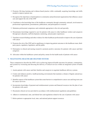- 2. Promotes life-long learning and evidence-based practice while continually acquiring knowledge and skills needed to improve patient care
- 3. Recognizes the importance of participation in community and professional organizations that influence cancer care and support the role of the ONP
- 4. Contributes to the knowledge base of the healthcare community through community outreach, involvement in professional organizations, presentations, publications, and participation in research
- 5. Maintains professional competence and credentials appropriate to the role and specialty
- 6. Disseminates knowledge required to care for patients with cancer to other healthcare workers and caregivers through peer education, staff development, mentoring, and preceptor experiences
- 7. Translates research findings and other evidence for other healthcare professionals to improve the care of patients with cancer
- 8. Promotes the role of the ONP and its significance in improving patient outcomes to the healthcare team, thirdparty payers, regulators, legislators, and the public
- 9. Participates in clinical and nursing research to promote positive outcomes for patients with cancer and their caregivers
- 10. Advocates within the healthcare system and policy arenas for the health needs of patients with cancer

### **V. NEGOTIATING HEALTHCARE DELIVERY SYSTEMS**

These competencies describe the ONP's role in achieving improved health outcomes for patients, communities, and systems by overseeing and directing the delivery of clinical services within an integrated system of health care.

- 1. Assists patients with cancer and their families and caregivers to negotiate healthcare delivery systems
- 2. Creates and enhances positive, health-promoting environments that maintain a climate of dignity and privacy for patients with cancer
- 3. Identifies aspects of the healthcare system that create barriers to comprehensive cancer care and long-term care for cancer survivors
- 4. Incorporates knowledge of payment and reimbursement systems and financial resources into the plan of care for patients with cancer
- 5. Documents clinical services provided in accordance with reimbursement regulations and guidelines
- 6. Adheres to institutional, state, and federal laws and regulations related to the care of patients with cancer
- 7. Refers patients to appropriate local, state, and national patient-support resources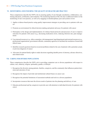### **VI. MONITORING AND ENSURING THE QUALITY OF HEALTHCARE PRACTICE**

These competencies describe the ONP's role in ensuring quality of care through consultation, collaboration, continuing education, certification, and evaluation. The monitoring function of the role also is addressed relative to the monitoring of one's own practice, as well as by engaging in interdisciplinary peer and systems review.

- 1. Applies evidence-based practice using quality improvement strategies in providing care to patients with cancer
- 2. Promotes an environment for ethical decision making and patient advocacy for patients with cancer
- 3. Participates in the design and implementation of evidence-based protocols and processes of care to improve outcomes for patients with cancer (e.g., decreasing medication errors, reducing infection rate, pain management)
- 4. Uses internal resources (e.g., ethics committee, risk management, legal department) and external resources (e.g., professional organizations, government officials, community agencies) to facilitate the resolution of moral and ethical issues
- 5. Identifies research questions based on recurrent problems related to the care of patients with a potential, actual, or previous diagnosis of cancer
- 6. Advocates for patient/family rights to make decisions regarding durable power of attorney, advance directives, and related issues

### **VII. CARING FOR DIVERSE POPULATIONS**

These competencies describe the ONP's role in providing competent care to diverse populations with respect to culture, race, ethnicity, religion, spirituality, gender, or lifestyle.

- 1. Recognizes the diversity among patients, families, caregivers, and the community that influences patient decisions and outcomes of care
- 2. Recognizes the impact of provider and institutional cultural biases on cancer care
- 3. Recognizes the potential limitations of assessment methods and tools in a diverse population
- 4. Incorporates resources that meet the diverse needs of patients into the planning and delivery of care
- 5. Educates professional and lay caregivers to provide care with attention to individual diversity for patients with cancer